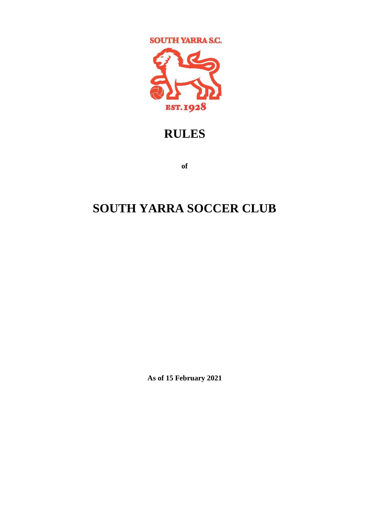

# **RULES**

**of** 

# **SOUTH YARRA SOCCER CLUB**

**As of 15 February 2021**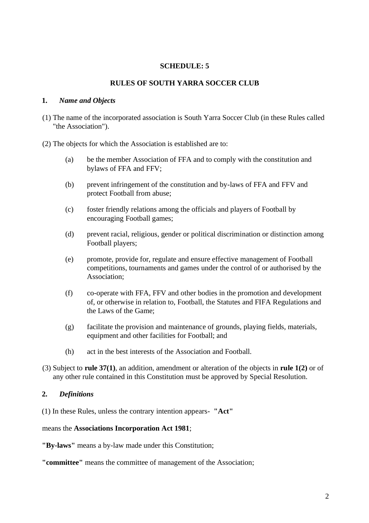## **SCHEDULE: 5**

#### **RULES OF SOUTH YARRA SOCCER CLUB**

#### **1.** *Name and Objects*

- (1) The name of the incorporated association is South Yarra Soccer Club (in these Rules called "the Association").
- (2) The objects for which the Association is established are to:
	- (a) be the member Association of FFA and to comply with the constitution and bylaws of FFA and FFV;
	- (b) prevent infringement of the constitution and by-laws of FFA and FFV and protect Football from abuse;
	- (c) foster friendly relations among the officials and players of Football by encouraging Football games;
	- (d) prevent racial, religious, gender or political discrimination or distinction among Football players;
	- (e) promote, provide for, regulate and ensure effective management of Football competitions, tournaments and games under the control of or authorised by the Association;
	- (f) co-operate with FFA, FFV and other bodies in the promotion and development of, or otherwise in relation to, Football, the Statutes and FIFA Regulations and the Laws of the Game;
	- (g) facilitate the provision and maintenance of grounds, playing fields, materials, equipment and other facilities for Football; and
	- (h) act in the best interests of the Association and Football.
- (3) Subject to **rule 37(1)**, an addition, amendment or alteration of the objects in **rule 1(2)** or of any other rule contained in this Constitution must be approved by Special Resolution.

#### **2.** *Definitions*

(1) In these Rules, unless the contrary intention appears- **"Act"** 

#### means the **Associations Incorporation Act 1981**;

**"By-laws"** means a by-law made under this Constitution;

**"committee"** means the committee of management of the Association;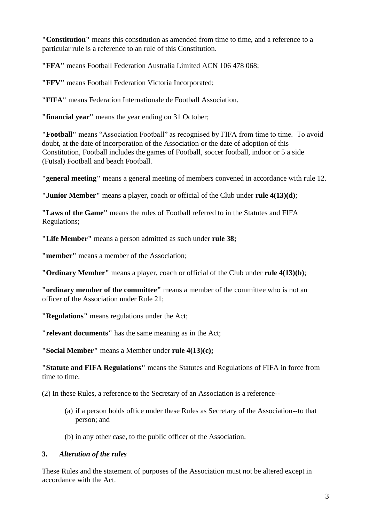**"Constitution"** means this constitution as amended from time to time, and a reference to a particular rule is a reference to an rule of this Constitution.

**"FFA"** means Football Federation Australia Limited ACN 106 478 068;

**"FFV"** means Football Federation Victoria Incorporated;

**"FIFA"** means Federation Internationale de Football Association.

**"financial year"** means the year ending on 31 October;

**"Football"** means "Association Football" as recognised by FIFA from time to time. To avoid doubt, at the date of incorporation of the Association or the date of adoption of this Constitution, Football includes the games of Football, soccer football, indoor or 5 a side (Futsal) Football and beach Football.

**"general meeting"** means a general meeting of members convened in accordance with rule 12.

**"Junior Member"** means a player, coach or official of the Club under **rule 4(13)(d)**;

**"Laws of the Game"** means the rules of Football referred to in the Statutes and FIFA Regulations;

**"Life Member"** means a person admitted as such under **rule 38;**

**"member"** means a member of the Association;

**"Ordinary Member"** means a player, coach or official of the Club under **rule 4(13)(b)**;

**"ordinary member of the committee"** means a member of the committee who is not an officer of the Association under Rule 21;

**"Regulations"** means regulations under the Act;

**"relevant documents"** has the same meaning as in the Act;

**"Social Member"** means a Member under **rule 4(13)(c);**

**"Statute and FIFA Regulations"** means the Statutes and Regulations of FIFA in force from time to time.

(2) In these Rules, a reference to the Secretary of an Association is a reference--

(a) if a person holds office under these Rules as Secretary of the Association--to that person; and

(b) in any other case, to the public officer of the Association.

## **3.** *Alteration of the rules*

These Rules and the statement of purposes of the Association must not be altered except in accordance with the Act.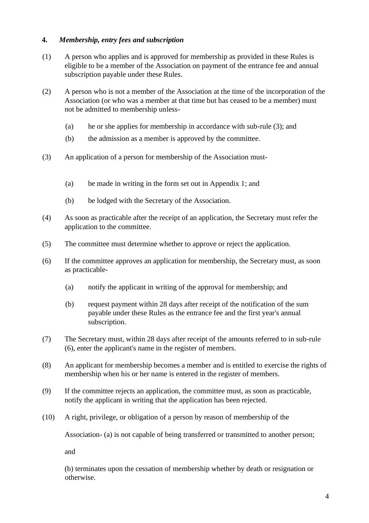## **4.** *Membership, entry fees and subscription*

- (1) A person who applies and is approved for membership as provided in these Rules is eligible to be a member of the Association on payment of the entrance fee and annual subscription payable under these Rules.
- (2) A person who is not a member of the Association at the time of the incorporation of the Association (or who was a member at that time but has ceased to be a member) must not be admitted to membership unless-
	- (a) he or she applies for membership in accordance with sub-rule (3); and
	- (b) the admission as a member is approved by the committee.
- (3) An application of a person for membership of the Association must-
	- (a) be made in writing in the form set out in Appendix 1; and
	- (b) be lodged with the Secretary of the Association.
- (4) As soon as practicable after the receipt of an application, the Secretary must refer the application to the committee.
- (5) The committee must determine whether to approve or reject the application.
- (6) If the committee approves an application for membership, the Secretary must, as soon as practicable-
	- (a) notify the applicant in writing of the approval for membership; and
	- (b) request payment within 28 days after receipt of the notification of the sum payable under these Rules as the entrance fee and the first year's annual subscription.
- (7) The Secretary must, within 28 days after receipt of the amounts referred to in sub-rule (6), enter the applicant's name in the register of members.
- (8) An applicant for membership becomes a member and is entitled to exercise the rights of membership when his or her name is entered in the register of members.
- (9) If the committee rejects an application, the committee must, as soon as practicable, notify the applicant in writing that the application has been rejected.
- (10) A right, privilege, or obligation of a person by reason of membership of the

Association- (a) is not capable of being transferred or transmitted to another person;

and

(b) terminates upon the cessation of membership whether by death or resignation or otherwise.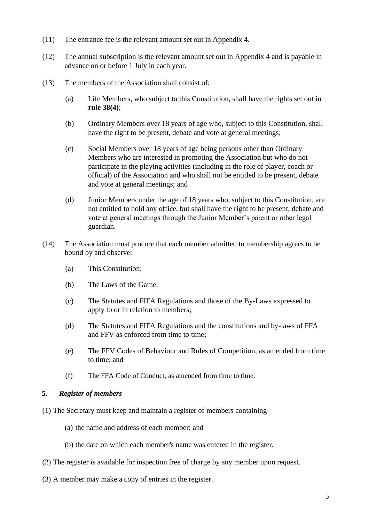- (11) The entrance fee is the relevant amount set out in Appendix 4.
- (12) The annual subscription is the relevant amount set out in Appendix 4 and is payable in advance on or before 1 July in each year.
- (13) The members of the Association shall consist of:
	- (a) Life Members, who subject to this Constitution, shall have the rights set out in **rule 38(4)**;
	- (b) Ordinary Members over 18 years of age who, subject to this Constitution, shall have the right to be present, debate and vote at general meetings;
	- (c) Social Members over 18 years of age being persons other than Ordinary Members who are interested in promoting the Association but who do not participate in the playing activities (including in the role of player, coach or official) of the Association and who shall not be entitled to be present, debate and vote at general meetings; and
	- (d) Junior Members under the age of 18 years who, subject to this Constitution, are not entitled to hold any office, but shall have the right to be present, debate and vote at general meetings through the Junior Member's parent or other legal guardian.
- (14) The Association must procure that each member admitted to membership agrees to be bound by and observe:
	- (a) This Constitution;
	- (b) The Laws of the Game;
	- (c) The Statutes and FIFA Regulations and those of the By-Laws expressed to apply to or in relation to members;
	- (d) The Statutes and FIFA Regulations and the constitutions and by-laws of FFA and FFV as enforced from time to time;
	- (e) The FFV Codes of Behaviour and Rules of Competition, as amended from time to time; and
	- (f) The FFA Code of Conduct, as amended from time to time.

## **5.** *Register of members*

- (1) The Secretary must keep and maintain a register of members containing-
	- (a) the name and address of each member; and
	- (b) the date on which each member's name was entered in the register.
- (2) The register is available for inspection free of charge by any member upon request.
- (3) A member may make a copy of entries in the register.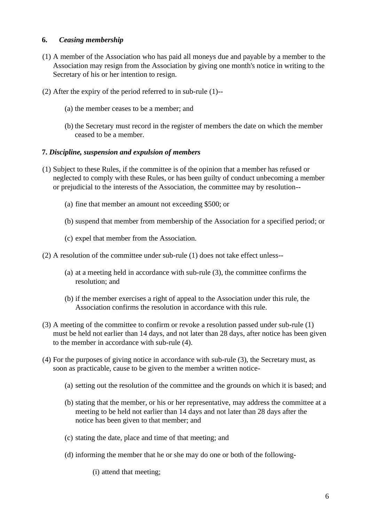#### **6.** *Ceasing membership*

- (1) A member of the Association who has paid all moneys due and payable by a member to the Association may resign from the Association by giving one month's notice in writing to the Secretary of his or her intention to resign.
- (2) After the expiry of the period referred to in sub-rule (1)--
	- (a) the member ceases to be a member; and
	- (b) the Secretary must record in the register of members the date on which the member ceased to be a member.

#### **7.** *Discipline, suspension and expulsion of members*

- (1) Subject to these Rules, if the committee is of the opinion that a member has refused or neglected to comply with these Rules, or has been guilty of conduct unbecoming a member or prejudicial to the interests of the Association, the committee may by resolution--
	- (a) fine that member an amount not exceeding \$500; or
	- (b) suspend that member from membership of the Association for a specified period; or
	- (c) expel that member from the Association.
- (2) A resolution of the committee under sub-rule (1) does not take effect unless--
	- (a) at a meeting held in accordance with sub-rule (3), the committee confirms the resolution; and
	- (b) if the member exercises a right of appeal to the Association under this rule, the Association confirms the resolution in accordance with this rule.
- (3) A meeting of the committee to confirm or revoke a resolution passed under sub-rule (1) must be held not earlier than 14 days, and not later than 28 days, after notice has been given to the member in accordance with sub-rule (4).
- (4) For the purposes of giving notice in accordance with sub-rule (3), the Secretary must, as soon as practicable, cause to be given to the member a written notice-
	- (a) setting out the resolution of the committee and the grounds on which it is based; and
	- (b) stating that the member, or his or her representative, may address the committee at a meeting to be held not earlier than 14 days and not later than 28 days after the notice has been given to that member; and
	- (c) stating the date, place and time of that meeting; and
	- (d) informing the member that he or she may do one or both of the following-

(i) attend that meeting;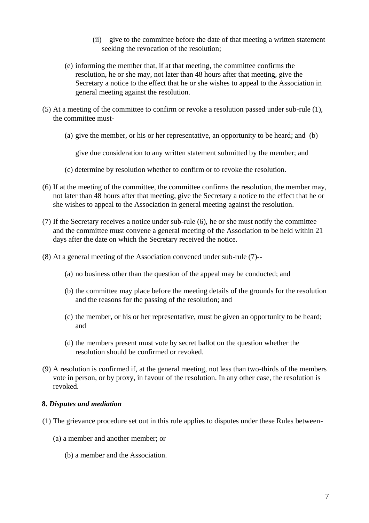- (ii) give to the committee before the date of that meeting a written statement seeking the revocation of the resolution;
- (e) informing the member that, if at that meeting, the committee confirms the resolution, he or she may, not later than 48 hours after that meeting, give the Secretary a notice to the effect that he or she wishes to appeal to the Association in general meeting against the resolution.
- (5) At a meeting of the committee to confirm or revoke a resolution passed under sub-rule (1), the committee must-
	- (a) give the member, or his or her representative, an opportunity to be heard; and (b)

give due consideration to any written statement submitted by the member; and

- (c) determine by resolution whether to confirm or to revoke the resolution.
- (6) If at the meeting of the committee, the committee confirms the resolution, the member may, not later than 48 hours after that meeting, give the Secretary a notice to the effect that he or she wishes to appeal to the Association in general meeting against the resolution.
- (7) If the Secretary receives a notice under sub-rule (6), he or she must notify the committee and the committee must convene a general meeting of the Association to be held within 21 days after the date on which the Secretary received the notice.
- (8) At a general meeting of the Association convened under sub-rule (7)--
	- (a) no business other than the question of the appeal may be conducted; and
	- (b) the committee may place before the meeting details of the grounds for the resolution and the reasons for the passing of the resolution; and
	- (c) the member, or his or her representative, must be given an opportunity to be heard; and
	- (d) the members present must vote by secret ballot on the question whether the resolution should be confirmed or revoked.
- (9) A resolution is confirmed if, at the general meeting, not less than two-thirds of the members vote in person, or by proxy, in favour of the resolution. In any other case, the resolution is revoked.

## **8.** *Disputes and mediation*

- (1) The grievance procedure set out in this rule applies to disputes under these Rules between-
	- (a) a member and another member; or
		- (b) a member and the Association.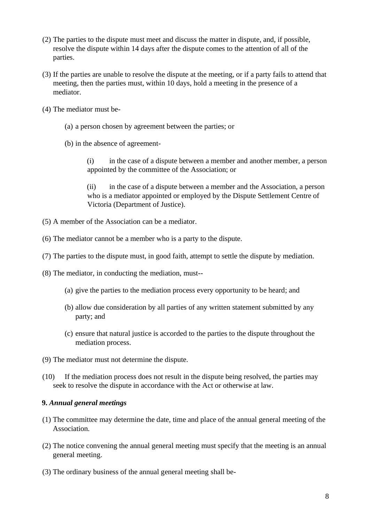- (2) The parties to the dispute must meet and discuss the matter in dispute, and, if possible, resolve the dispute within 14 days after the dispute comes to the attention of all of the parties.
- (3) If the parties are unable to resolve the dispute at the meeting, or if a party fails to attend that meeting, then the parties must, within 10 days, hold a meeting in the presence of a mediator.
- (4) The mediator must be-
	- (a) a person chosen by agreement between the parties; or
	- (b) in the absence of agreement-

(i) in the case of a dispute between a member and another member, a person appointed by the committee of the Association; or

(ii) in the case of a dispute between a member and the Association, a person who is a mediator appointed or employed by the Dispute Settlement Centre of Victoria (Department of Justice).

- (5) A member of the Association can be a mediator.
- (6) The mediator cannot be a member who is a party to the dispute.
- (7) The parties to the dispute must, in good faith, attempt to settle the dispute by mediation.
- (8) The mediator, in conducting the mediation, must--
	- (a) give the parties to the mediation process every opportunity to be heard; and
	- (b) allow due consideration by all parties of any written statement submitted by any party; and
	- (c) ensure that natural justice is accorded to the parties to the dispute throughout the mediation process.
- (9) The mediator must not determine the dispute.
- (10) If the mediation process does not result in the dispute being resolved, the parties may seek to resolve the dispute in accordance with the Act or otherwise at law.

#### **9.** *Annual general meetings*

- (1) The committee may determine the date, time and place of the annual general meeting of the Association.
- (2) The notice convening the annual general meeting must specify that the meeting is an annual general meeting.
- (3) The ordinary business of the annual general meeting shall be-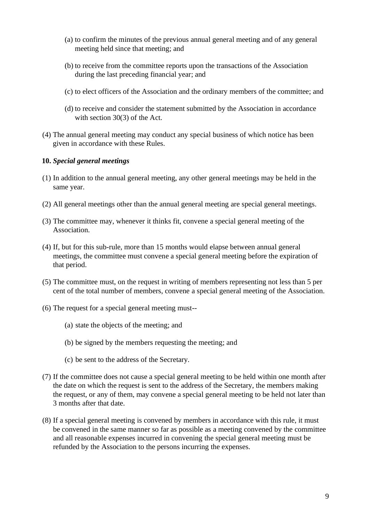- (a) to confirm the minutes of the previous annual general meeting and of any general meeting held since that meeting; and
- (b) to receive from the committee reports upon the transactions of the Association during the last preceding financial year; and
- (c) to elect officers of the Association and the ordinary members of the committee; and
- (d) to receive and consider the statement submitted by the Association in accordance with section 30(3) of the Act.
- (4) The annual general meeting may conduct any special business of which notice has been given in accordance with these Rules.

#### **10.** *Special general meetings*

- (1) In addition to the annual general meeting, any other general meetings may be held in the same year.
- (2) All general meetings other than the annual general meeting are special general meetings.
- (3) The committee may, whenever it thinks fit, convene a special general meeting of the Association.
- (4) If, but for this sub-rule, more than 15 months would elapse between annual general meetings, the committee must convene a special general meeting before the expiration of that period.
- (5) The committee must, on the request in writing of members representing not less than 5 per cent of the total number of members, convene a special general meeting of the Association.
- (6) The request for a special general meeting must--
	- (a) state the objects of the meeting; and
	- (b) be signed by the members requesting the meeting; and
	- (c) be sent to the address of the Secretary.
- (7) If the committee does not cause a special general meeting to be held within one month after the date on which the request is sent to the address of the Secretary, the members making the request, or any of them, may convene a special general meeting to be held not later than 3 months after that date.
- (8) If a special general meeting is convened by members in accordance with this rule, it must be convened in the same manner so far as possible as a meeting convened by the committee and all reasonable expenses incurred in convening the special general meeting must be refunded by the Association to the persons incurring the expenses.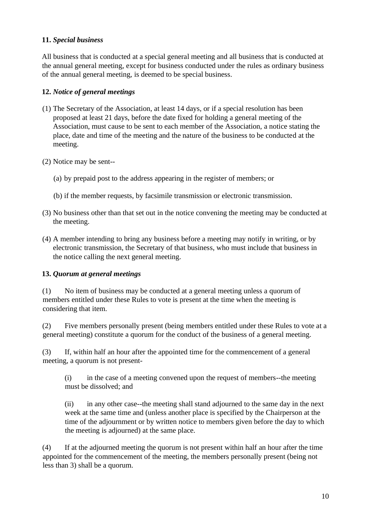## **11.** *Special business*

All business that is conducted at a special general meeting and all business that is conducted at the annual general meeting, except for business conducted under the rules as ordinary business of the annual general meeting, is deemed to be special business.

## **12.** *Notice of general meetings*

- (1) The Secretary of the Association, at least 14 days, or if a special resolution has been proposed at least 21 days, before the date fixed for holding a general meeting of the Association, must cause to be sent to each member of the Association, a notice stating the place, date and time of the meeting and the nature of the business to be conducted at the meeting.
- (2) Notice may be sent--
	- (a) by prepaid post to the address appearing in the register of members; or
	- (b) if the member requests, by facsimile transmission or electronic transmission.
- (3) No business other than that set out in the notice convening the meeting may be conducted at the meeting.
- (4) A member intending to bring any business before a meeting may notify in writing, or by electronic transmission, the Secretary of that business, who must include that business in the notice calling the next general meeting.

## **13.** *Quorum at general meetings*

(1) No item of business may be conducted at a general meeting unless a quorum of members entitled under these Rules to vote is present at the time when the meeting is considering that item.

(2) Five members personally present (being members entitled under these Rules to vote at a general meeting) constitute a quorum for the conduct of the business of a general meeting.

(3) If, within half an hour after the appointed time for the commencement of a general meeting, a quorum is not present-

(i) in the case of a meeting convened upon the request of members--the meeting must be dissolved; and

(ii) in any other case--the meeting shall stand adjourned to the same day in the next week at the same time and (unless another place is specified by the Chairperson at the time of the adjournment or by written notice to members given before the day to which the meeting is adjourned) at the same place.

(4) If at the adjourned meeting the quorum is not present within half an hour after the time appointed for the commencement of the meeting, the members personally present (being not less than 3) shall be a quorum.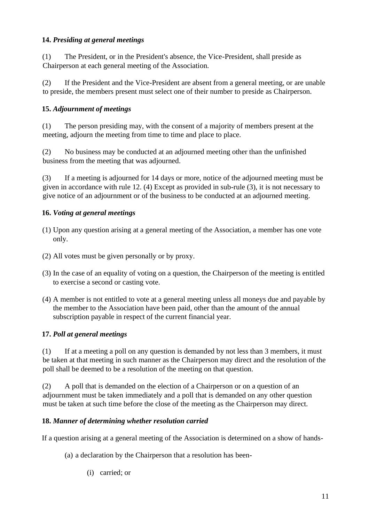## **14.** *Presiding at general meetings*

(1) The President, or in the President's absence, the Vice-President, shall preside as Chairperson at each general meeting of the Association.

(2) If the President and the Vice-President are absent from a general meeting, or are unable to preside, the members present must select one of their number to preside as Chairperson.

## **15.** *Adjournment of meetings*

(1) The person presiding may, with the consent of a majority of members present at the meeting, adjourn the meeting from time to time and place to place.

(2) No business may be conducted at an adjourned meeting other than the unfinished business from the meeting that was adjourned.

(3) If a meeting is adjourned for 14 days or more, notice of the adjourned meeting must be given in accordance with rule 12. (4) Except as provided in sub-rule (3), it is not necessary to give notice of an adjournment or of the business to be conducted at an adjourned meeting.

## **16.** *Voting at general meetings*

- (1) Upon any question arising at a general meeting of the Association, a member has one vote only.
- (2) All votes must be given personally or by proxy.
- (3) In the case of an equality of voting on a question, the Chairperson of the meeting is entitled to exercise a second or casting vote.
- (4) A member is not entitled to vote at a general meeting unless all moneys due and payable by the member to the Association have been paid, other than the amount of the annual subscription payable in respect of the current financial year.

## **17.** *Poll at general meetings*

(1) If at a meeting a poll on any question is demanded by not less than 3 members, it must be taken at that meeting in such manner as the Chairperson may direct and the resolution of the poll shall be deemed to be a resolution of the meeting on that question.

(2) A poll that is demanded on the election of a Chairperson or on a question of an adjournment must be taken immediately and a poll that is demanded on any other question must be taken at such time before the close of the meeting as the Chairperson may direct.

## **18.** *Manner of determining whether resolution carried*

If a question arising at a general meeting of the Association is determined on a show of hands-

- (a) a declaration by the Chairperson that a resolution has been-
	- (i) carried; or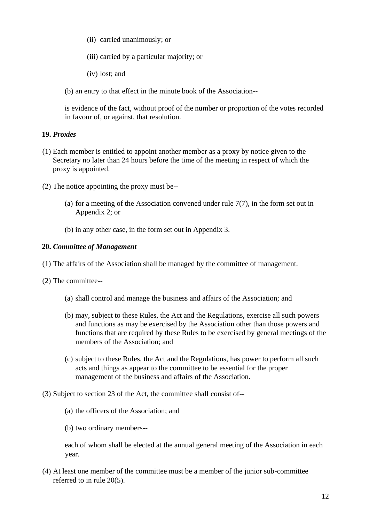- (ii) carried unanimously; or
- (iii) carried by a particular majority; or
- (iv) lost; and

(b) an entry to that effect in the minute book of the Association--

is evidence of the fact, without proof of the number or proportion of the votes recorded in favour of, or against, that resolution.

## **19.** *Proxies*

- (1) Each member is entitled to appoint another member as a proxy by notice given to the Secretary no later than 24 hours before the time of the meeting in respect of which the proxy is appointed.
- (2) The notice appointing the proxy must be--
	- (a) for a meeting of the Association convened under rule  $7(7)$ , in the form set out in Appendix 2; or
	- (b) in any other case, in the form set out in Appendix 3.

## **20.** *Committee of Management*

- (1) The affairs of the Association shall be managed by the committee of management.
- (2) The committee--
	- (a) shall control and manage the business and affairs of the Association; and
	- (b) may, subject to these Rules, the Act and the Regulations, exercise all such powers and functions as may be exercised by the Association other than those powers and functions that are required by these Rules to be exercised by general meetings of the members of the Association; and
	- (c) subject to these Rules, the Act and the Regulations, has power to perform all such acts and things as appear to the committee to be essential for the proper management of the business and affairs of the Association.
- (3) Subject to section 23 of the Act, the committee shall consist of--
	- (a) the officers of the Association; and
	- (b) two ordinary members--

each of whom shall be elected at the annual general meeting of the Association in each year.

(4) At least one member of the committee must be a member of the junior sub-committee referred to in rule 20(5).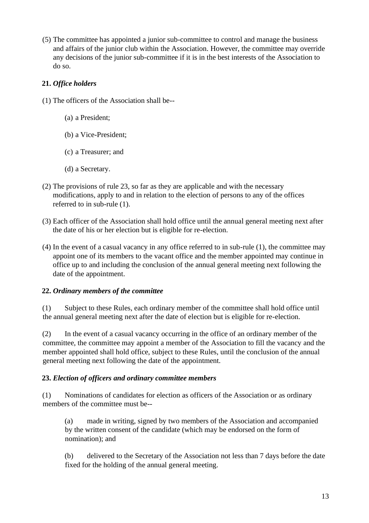(5) The committee has appointed a junior sub-committee to control and manage the business and affairs of the junior club within the Association. However, the committee may override any decisions of the junior sub-committee if it is in the best interests of the Association to do so.

# **21.** *Office holders*

- (1) The officers of the Association shall be--
	- (a) a President;
	- (b) a Vice-President;
	- (c) a Treasurer; and
	- (d) a Secretary.
- (2) The provisions of rule 23, so far as they are applicable and with the necessary modifications, apply to and in relation to the election of persons to any of the offices referred to in sub-rule (1).
- (3) Each officer of the Association shall hold office until the annual general meeting next after the date of his or her election but is eligible for re-election.
- (4) In the event of a casual vacancy in any office referred to in sub-rule (1), the committee may appoint one of its members to the vacant office and the member appointed may continue in office up to and including the conclusion of the annual general meeting next following the date of the appointment.

# **22.** *Ordinary members of the committee*

(1) Subject to these Rules, each ordinary member of the committee shall hold office until the annual general meeting next after the date of election but is eligible for re-election.

(2) In the event of a casual vacancy occurring in the office of an ordinary member of the committee, the committee may appoint a member of the Association to fill the vacancy and the member appointed shall hold office, subject to these Rules, until the conclusion of the annual general meeting next following the date of the appointment.

# **23.** *Election of officers and ordinary committee members*

(1) Nominations of candidates for election as officers of the Association or as ordinary members of the committee must be--

(a) made in writing, signed by two members of the Association and accompanied by the written consent of the candidate (which may be endorsed on the form of nomination); and

(b) delivered to the Secretary of the Association not less than 7 days before the date fixed for the holding of the annual general meeting.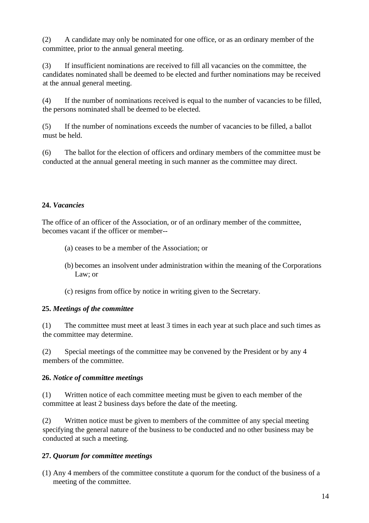(2) A candidate may only be nominated for one office, or as an ordinary member of the committee, prior to the annual general meeting.

(3) If insufficient nominations are received to fill all vacancies on the committee, the candidates nominated shall be deemed to be elected and further nominations may be received at the annual general meeting.

(4) If the number of nominations received is equal to the number of vacancies to be filled, the persons nominated shall be deemed to be elected.

(5) If the number of nominations exceeds the number of vacancies to be filled, a ballot must be held.

(6) The ballot for the election of officers and ordinary members of the committee must be conducted at the annual general meeting in such manner as the committee may direct.

# **24.** *Vacancies*

The office of an officer of the Association, or of an ordinary member of the committee, becomes vacant if the officer or member--

- (a) ceases to be a member of the Association; or
- (b) becomes an insolvent under administration within the meaning of the Corporations Law; or
- (c) resigns from office by notice in writing given to the Secretary.

## **25.** *Meetings of the committee*

(1) The committee must meet at least 3 times in each year at such place and such times as the committee may determine.

(2) Special meetings of the committee may be convened by the President or by any 4 members of the committee.

## **26.** *Notice of committee meetings*

(1) Written notice of each committee meeting must be given to each member of the committee at least 2 business days before the date of the meeting.

(2) Written notice must be given to members of the committee of any special meeting specifying the general nature of the business to be conducted and no other business may be conducted at such a meeting.

# **27.** *Quorum for committee meetings*

(1) Any 4 members of the committee constitute a quorum for the conduct of the business of a meeting of the committee.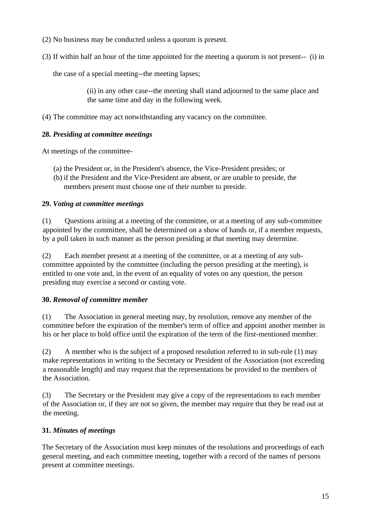- (2) No business may be conducted unless a quorum is present.
- (3) If within half an hour of the time appointed for the meeting a quorum is not present-- (i) in

the case of a special meeting--the meeting lapses;

(ii) in any other case--the meeting shall stand adjourned to the same place and the same time and day in the following week.

(4) The committee may act notwithstanding any vacancy on the committee.

## **28.** *Presiding at committee meetings*

At meetings of the committee-

- (a) the President or, in the President's absence, the Vice-President presides; or
- (b) if the President and the Vice-President are absent, or are unable to preside, the members present must choose one of their number to preside.

## **29.** *Voting at committee meetings*

(1) Questions arising at a meeting of the committee, or at a meeting of any sub-committee appointed by the committee, shall be determined on a show of hands or, if a member requests, by a poll taken in such manner as the person presiding at that meeting may determine.

(2) Each member present at a meeting of the committee, or at a meeting of any subcommittee appointed by the committee (including the person presiding at the meeting), is entitled to one vote and, in the event of an equality of votes on any question, the person presiding may exercise a second or casting vote.

# **30.** *Removal of committee member*

(1) The Association in general meeting may, by resolution, remove any member of the committee before the expiration of the member's term of office and appoint another member in his or her place to hold office until the expiration of the term of the first-mentioned member.

(2) A member who is the subject of a proposed resolution referred to in sub-rule (1) may make representations in writing to the Secretary or President of the Association (not exceeding a reasonable length) and may request that the representations be provided to the members of the Association.

(3) The Secretary or the President may give a copy of the representations to each member of the Association or, if they are not so given, the member may require that they be read out at the meeting.

# **31.** *Minutes of meetings*

The Secretary of the Association must keep minutes of the resolutions and proceedings of each general meeting, and each committee meeting, together with a record of the names of persons present at committee meetings.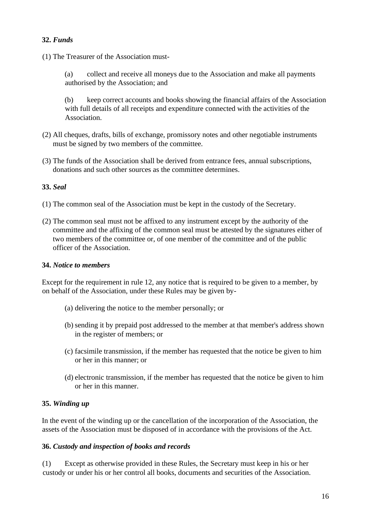## **32.** *Funds*

(1) The Treasurer of the Association must-

(a) collect and receive all moneys due to the Association and make all payments authorised by the Association; and

(b) keep correct accounts and books showing the financial affairs of the Association with full details of all receipts and expenditure connected with the activities of the Association.

- (2) All cheques, drafts, bills of exchange, promissory notes and other negotiable instruments must be signed by two members of the committee.
- (3) The funds of the Association shall be derived from entrance fees, annual subscriptions, donations and such other sources as the committee determines.

#### **33.** *Seal*

- (1) The common seal of the Association must be kept in the custody of the Secretary.
- (2) The common seal must not be affixed to any instrument except by the authority of the committee and the affixing of the common seal must be attested by the signatures either of two members of the committee or, of one member of the committee and of the public officer of the Association.

#### **34.** *Notice to members*

Except for the requirement in rule 12, any notice that is required to be given to a member, by on behalf of the Association, under these Rules may be given by-

- (a) delivering the notice to the member personally; or
- (b) sending it by prepaid post addressed to the member at that member's address shown in the register of members; or
- (c) facsimile transmission, if the member has requested that the notice be given to him or her in this manner; or
- (d) electronic transmission, if the member has requested that the notice be given to him or her in this manner.

## **35.** *Winding up*

In the event of the winding up or the cancellation of the incorporation of the Association, the assets of the Association must be disposed of in accordance with the provisions of the Act.

#### **36.** *Custody and inspection of books and records*

(1) Except as otherwise provided in these Rules, the Secretary must keep in his or her custody or under his or her control all books, documents and securities of the Association.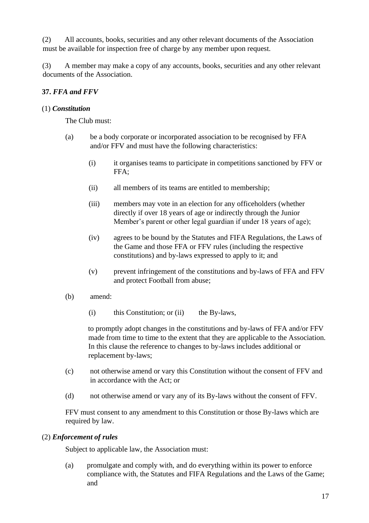(2) All accounts, books, securities and any other relevant documents of the Association must be available for inspection free of charge by any member upon request.

(3) A member may make a copy of any accounts, books, securities and any other relevant documents of the Association.

## **37.** *FFA and FFV*

## (1) *Constitution*

The Club must:

- (a) be a body corporate or incorporated association to be recognised by FFA and/or FFV and must have the following characteristics:
	- (i) it organises teams to participate in competitions sanctioned by FFV or FFA;
	- (ii) all members of its teams are entitled to membership;
	- (iii) members may vote in an election for any officeholders (whether directly if over 18 years of age or indirectly through the Junior Member's parent or other legal guardian if under 18 years of age);
	- (iv) agrees to be bound by the Statutes and FIFA Regulations, the Laws of the Game and those FFA or FFV rules (including the respective constitutions) and by-laws expressed to apply to it; and
	- (v) prevent infringement of the constitutions and by-laws of FFA and FFV and protect Football from abuse;
- (b) amend:
	- (i) this Constitution; or (ii) the By-laws,

to promptly adopt changes in the constitutions and by-laws of FFA and/or FFV made from time to time to the extent that they are applicable to the Association. In this clause the reference to changes to by-laws includes additional or replacement by-laws;

- (c) not otherwise amend or vary this Constitution without the consent of FFV and in accordance with the Act; or
- (d) not otherwise amend or vary any of its By-laws without the consent of FFV.

FFV must consent to any amendment to this Constitution or those By-laws which are required by law.

## (2) *Enforcement of rules*

Subject to applicable law, the Association must:

(a) promulgate and comply with, and do everything within its power to enforce compliance with, the Statutes and FIFA Regulations and the Laws of the Game; and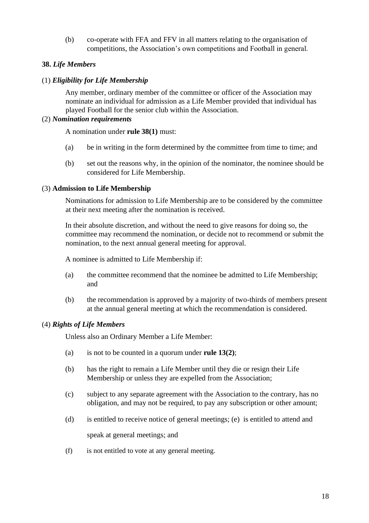(b) co-operate with FFA and FFV in all matters relating to the organisation of competitions, the Association's own competitions and Football in general.

## **38.** *Life Members*

## (1) *Eligibility for Life Membership*

Any member, ordinary member of the committee or officer of the Association may nominate an individual for admission as a Life Member provided that individual has played Football for the senior club within the Association.

## (2) *Nomination requirements*

A nomination under **rule 38(1)** must:

- (a) be in writing in the form determined by the committee from time to time; and
- (b) set out the reasons why, in the opinion of the nominator, the nominee should be considered for Life Membership.

## (3) **Admission to Life Membership**

Nominations for admission to Life Membership are to be considered by the committee at their next meeting after the nomination is received.

In their absolute discretion, and without the need to give reasons for doing so, the committee may recommend the nomination, or decide not to recommend or submit the nomination, to the next annual general meeting for approval.

A nominee is admitted to Life Membership if:

- (a) the committee recommend that the nominee be admitted to Life Membership; and
- (b) the recommendation is approved by a majority of two-thirds of members present at the annual general meeting at which the recommendation is considered.

## (4) *Rights of Life Members*

Unless also an Ordinary Member a Life Member:

- (a) is not to be counted in a quorum under **rule 13(2)**;
- (b) has the right to remain a Life Member until they die or resign their Life Membership or unless they are expelled from the Association;
- (c) subject to any separate agreement with the Association to the contrary, has no obligation, and may not be required, to pay any subscription or other amount;
- (d) is entitled to receive notice of general meetings; (e) is entitled to attend and

speak at general meetings; and

(f) is not entitled to vote at any general meeting.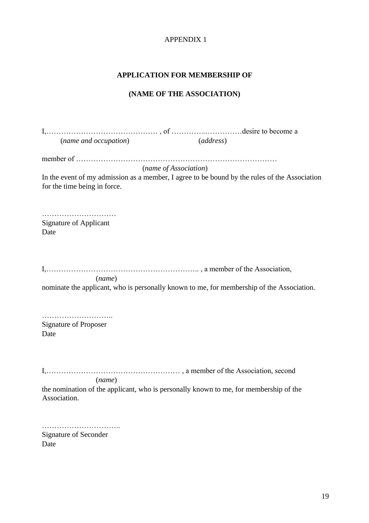#### **APPLICATION FOR MEMBERSHIP OF**

#### **(NAME OF THE ASSOCIATION)**

I,……………………………………… , of …………..……………desire to become a (*name and occupation*) (*address*) member of ……………………………………………………………………… (*name of Association*) In the event of my admission as a member, I agree to be bound by the rules of the Association for the time being in force. ………………………… Signature of Applicant Date I,…………………………………………………….. , a member of the Association, (*name*) nominate the applicant, who is personally known to me, for membership of the Association. ……………………….. Signature of Proposer Date I,……………………………………………… , a member of the Association, second (*name*) the nomination of the applicant, who is personally known to me, for membership of the Association.

………………………….. Signature of Seconder

Date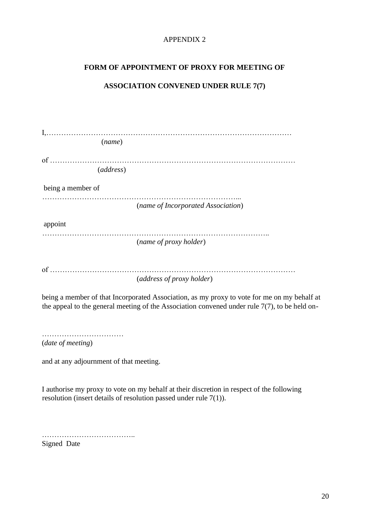## **FORM OF APPOINTMENT OF PROXY FOR MEETING OF**

# **ASSOCIATION CONVENED UNDER RULE 7(7)**

| (name)            |                                                                                                                                                                                                 |
|-------------------|-------------------------------------------------------------------------------------------------------------------------------------------------------------------------------------------------|
| (address)         |                                                                                                                                                                                                 |
| being a member of |                                                                                                                                                                                                 |
|                   | (name of Incorporated Association)                                                                                                                                                              |
| appoint           |                                                                                                                                                                                                 |
|                   | (name of proxy holder)                                                                                                                                                                          |
|                   | (address of proxy holder)                                                                                                                                                                       |
|                   | being a member of that Incorporated Association, as my proxy to vote for me on my behalf at<br>the appeal to the general meeting of the Association convened under rule $7(7)$ , to be held on- |
| (date of meeting) |                                                                                                                                                                                                 |

and at any adjournment of that meeting.

I authorise my proxy to vote on my behalf at their discretion in respect of the following resolution (insert details of resolution passed under rule 7(1)).

………………………………………… Signed Date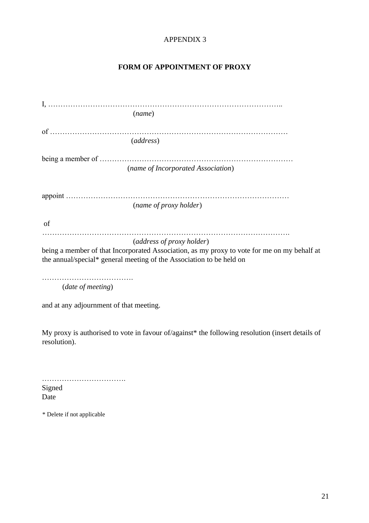## **FORM OF APPOINTMENT OF PROXY**

|                            | (name)                                                                                                                                                              |
|----------------------------|---------------------------------------------------------------------------------------------------------------------------------------------------------------------|
|                            |                                                                                                                                                                     |
|                            | (address)                                                                                                                                                           |
|                            |                                                                                                                                                                     |
|                            | (name of Incorporated Association)                                                                                                                                  |
|                            |                                                                                                                                                                     |
|                            | (name of proxy holder)                                                                                                                                              |
| of                         |                                                                                                                                                                     |
|                            | (address of proxy holder)                                                                                                                                           |
|                            | being a member of that Incorporated Association, as my proxy to vote for me on my behalf at<br>the annual/special* general meeting of the Association to be held on |
| ( <i>date of meeting</i> ) |                                                                                                                                                                     |

and at any adjournment of that meeting.

My proxy is authorised to vote in favour of/against\* the following resolution (insert details of resolution).

……………………………. Signed Date

\* Delete if not applicable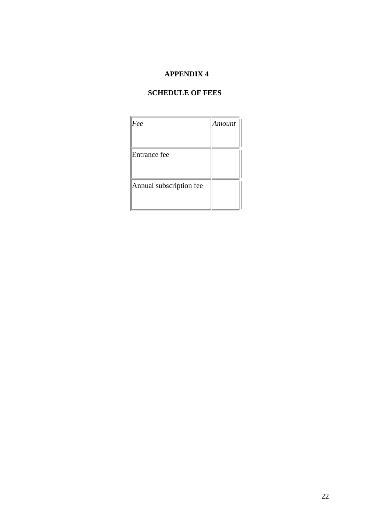# **SCHEDULE OF FEES**

| Fee                     | Amount |
|-------------------------|--------|
|                         |        |
| Entrance fee            |        |
|                         |        |
| Annual subscription fee |        |
|                         |        |